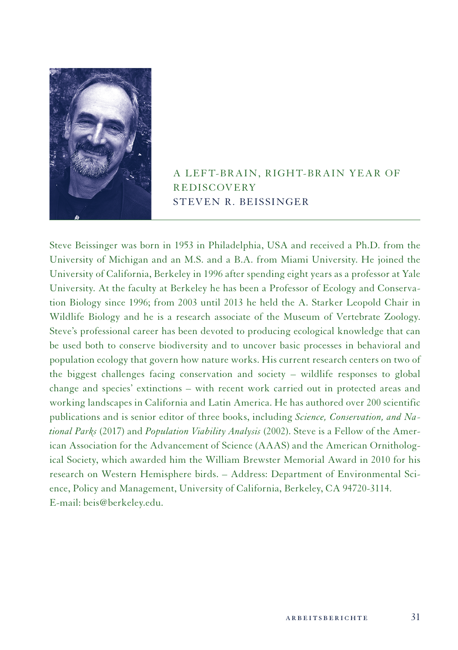

A LEFT-BRAIN, RIGHT-BRAIN YEAR OF **REDISCOVERY** STEVEN R. BEISSINGER

Steve Beissinger was born in 1953 in Philadelphia, USA and received a Ph.D. from the University of Michigan and an M.S. and a B.A. from Miami University. He joined the University of California, Berkeley in 1996 after spending eight years as a professor at Yale University. At the faculty at Berkeley he has been a Professor of Ecology and Conservation Biology since 1996; from 2003 until 2013 he held the A. Starker Leopold Chair in Wildlife Biology and he is a research associate of the Museum of Vertebrate Zoology. Steve's professional career has been devoted to producing ecological knowledge that can be used both to conserve biodiversity and to uncover basic processes in behavioral and population ecology that govern how nature works. His current research centers on two of the biggest challenges facing conservation and society – wildlife responses to global change and species' extinctions – with recent work carried out in protected areas and working landscapes in California and Latin America. He has authored over 200 scientific publications and is senior editor of three books, including *Science, Conservation, and National Parks* (2017) and *Population Viability Analysis* (2002). Steve is a Fellow of the American Association for the Advancement of Science (AAAS) and the American Ornithological Society, which awarded him the William Brewster Memorial Award in 2010 for his research on Western Hemisphere birds. – Address: Department of Environmental Science, Policy and Management, University of California, Berkeley, CA 94720-3114. E-mail: beis@berkeley.edu.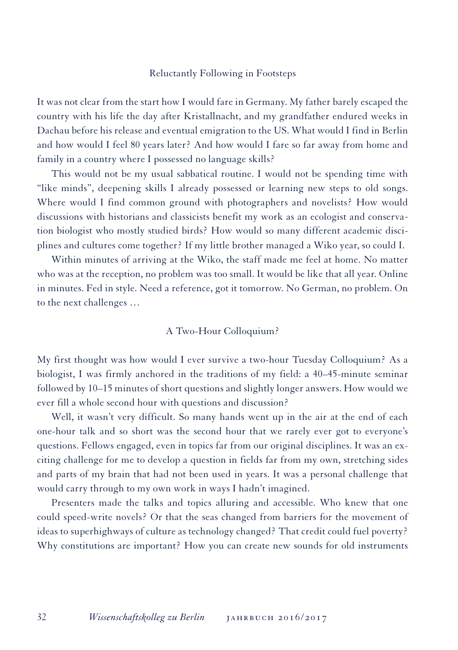# Reluctantly Following in Footsteps

It was not clear from the start how I would fare in Germany. My father barely escaped the country with his life the day after Kristallnacht, and my grandfather endured weeks in Dachau before his release and eventual emigration to the US. What would I find in Berlin and how would I feel 80 years later? And how would I fare so far away from home and family in a country where I possessed no language skills?

This would not be my usual sabbatical routine. I would not be spending time with "like minds", deepening skills I already possessed or learning new steps to old songs. Where would I find common ground with photographers and novelists? How would discussions with historians and classicists benefit my work as an ecologist and conservation biologist who mostly studied birds? How would so many different academic disciplines and cultures come together? If my little brother managed a Wiko year, so could I.

Within minutes of arriving at the Wiko, the staff made me feel at home. No matter who was at the reception, no problem was too small. It would be like that all year. Online in minutes. Fed in style. Need a reference, got it tomorrow. No German, no problem. On to the next challenges …

### A Two-Hour Colloquium?

My first thought was how would I ever survive a two-hour Tuesday Colloquium? As a biologist, I was firmly anchored in the traditions of my field: a 40–45-minute seminar followed by 10–15 minutes of short questions and slightly longer answers. How would we ever fill a whole second hour with questions and discussion?

Well, it wasn't very difficult. So many hands went up in the air at the end of each one-hour talk and so short was the second hour that we rarely ever got to everyone's questions. Fellows engaged, even in topics far from our original disciplines. It was an exciting challenge for me to develop a question in fields far from my own, stretching sides and parts of my brain that had not been used in years. It was a personal challenge that would carry through to my own work in ways I hadn't imagined.

Presenters made the talks and topics alluring and accessible. Who knew that one could speed-write novels? Or that the seas changed from barriers for the movement of ideas to superhighways of culture as technology changed? That credit could fuel poverty? Why constitutions are important? How you can create new sounds for old instruments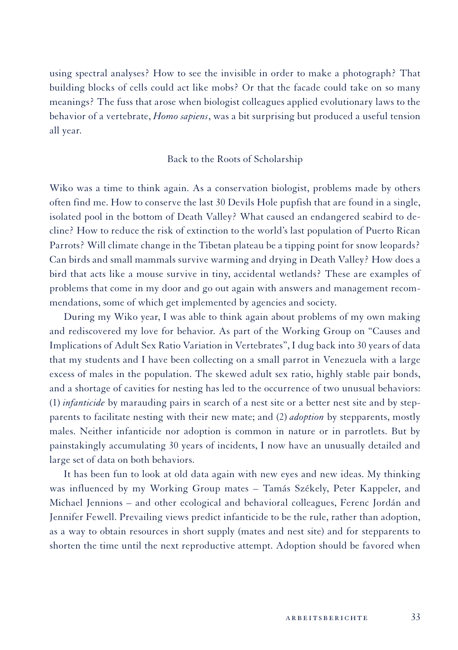using spectral analyses? How to see the invisible in order to make a photograph? That building blocks of cells could act like mobs? Or that the facade could take on so many meanings? The fuss that arose when biologist colleagues applied evolutionary laws to the behavior of a vertebrate, *Homo sapiens*, was a bit surprising but produced a useful tension all year.

#### Back to the Roots of Scholarship

Wiko was a time to think again. As a conservation biologist, problems made by others often find me. How to conserve the last 30 Devils Hole pupfish that are found in a single, isolated pool in the bottom of Death Valley? What caused an endangered seabird to decline? How to reduce the risk of extinction to the world's last population of Puerto Rican Parrots? Will climate change in the Tibetan plateau be a tipping point for snow leopards? Can birds and small mammals survive warming and drying in Death Valley? How does a bird that acts like a mouse survive in tiny, accidental wetlands? These are examples of problems that come in my door and go out again with answers and management recommendations, some of which get implemented by agencies and society.

During my Wiko year, I was able to think again about problems of my own making and rediscovered my love for behavior. As part of the Working Group on "Causes and Implications of Adult Sex Ratio Variation in Vertebrates", I dug back into 30 years of data that my students and I have been collecting on a small parrot in Venezuela with a large excess of males in the population. The skewed adult sex ratio, highly stable pair bonds, and a shortage of cavities for nesting has led to the occurrence of two unusual behaviors: (1) *infanticide* by marauding pairs in search of a nest site or a better nest site and by stepparents to facilitate nesting with their new mate; and (2) *adoption* by stepparents, mostly males. Neither infanticide nor adoption is common in nature or in parrotlets. But by painstakingly accumulating 30 years of incidents, I now have an unusually detailed and large set of data on both behaviors.

It has been fun to look at old data again with new eyes and new ideas. My thinking was influenced by my Working Group mates – Tamás Székely, Peter Kappeler, and Michael Jennions – and other ecological and behavioral colleagues, Ferenc Jordán and Jennifer Fewell. Prevailing views predict infanticide to be the rule, rather than adoption, as a way to obtain resources in short supply (mates and nest site) and for stepparents to shorten the time until the next reproductive attempt. Adoption should be favored when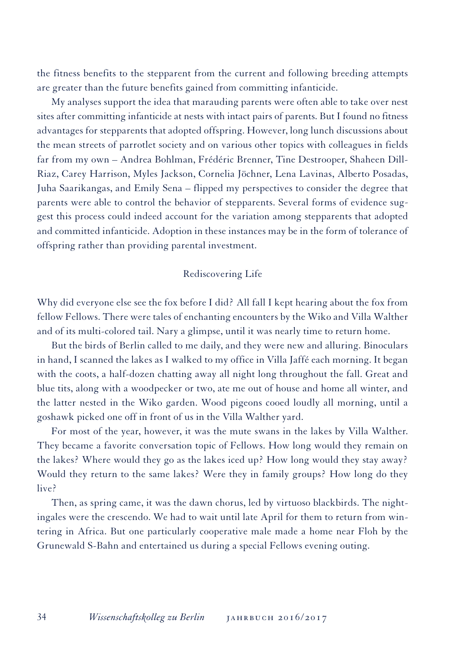the fitness benefits to the stepparent from the current and following breeding attempts are greater than the future benefits gained from committing infanticide.

My analyses support the idea that marauding parents were often able to take over nest sites after committing infanticide at nests with intact pairs of parents. But I found no fitness advantages for stepparents that adopted offspring. However, long lunch discussions about the mean streets of parrotlet society and on various other topics with colleagues in fields far from my own – Andrea Bohlman, Frédéric Brenner, Tine Destrooper, Shaheen Dill-Riaz, Carey Harrison, Myles Jackson, Cornelia Jöchner, Lena Lavinas, Alberto Posadas, Juha Saarikangas, and Emily Sena – flipped my perspectives to consider the degree that parents were able to control the behavior of stepparents. Several forms of evidence suggest this process could indeed account for the variation among stepparents that adopted and committed infanticide. Adoption in these instances may be in the form of tolerance of offspring rather than providing parental investment.

# Rediscovering Life

Why did everyone else see the fox before I did? All fall I kept hearing about the fox from fellow Fellows. There were tales of enchanting encounters by the Wiko and Villa Walther and of its multi-colored tail. Nary a glimpse, until it was nearly time to return home.

But the birds of Berlin called to me daily, and they were new and alluring. Binoculars in hand, I scanned the lakes as I walked to my office in Villa Jaffé each morning. It began with the coots, a half-dozen chatting away all night long throughout the fall. Great and blue tits, along with a woodpecker or two, ate me out of house and home all winter, and the latter nested in the Wiko garden. Wood pigeons cooed loudly all morning, until a goshawk picked one off in front of us in the Villa Walther yard.

For most of the year, however, it was the mute swans in the lakes by Villa Walther. They became a favorite conversation topic of Fellows. How long would they remain on the lakes? Where would they go as the lakes iced up? How long would they stay away? Would they return to the same lakes? Were they in family groups? How long do they live?

Then, as spring came, it was the dawn chorus, led by virtuoso blackbirds. The nightingales were the crescendo. We had to wait until late April for them to return from wintering in Africa. But one particularly cooperative male made a home near Floh by the Grunewald S-Bahn and entertained us during a special Fellows evening outing.